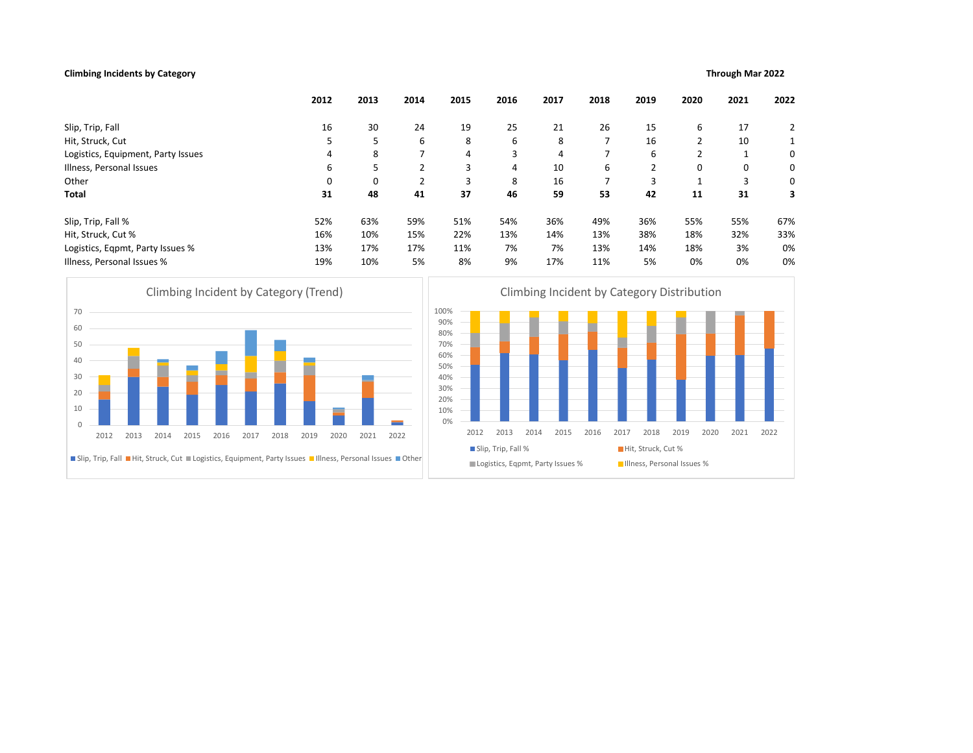# Climbing Incidents by Category Through Mar 2022

| 25<br>6<br>3<br>4<br>8<br>46<br>54%<br>13%<br>7%<br>9% | 21<br>8<br>4<br>10<br>16<br>59<br>36%<br>14%<br>7%<br>17%<br>Climbing Incident by Category Distribution | 26<br>$\overline{7}$<br>$\overline{7}$<br>6<br>$\overline{7}$<br>53<br>49%<br>13%<br>13%<br>11% | 15<br>16<br>6<br>$\overline{2}$<br>3<br>42<br>36%<br>38%<br>14%<br>5% | 6<br>2<br>2<br>0<br>1<br>11<br>55%<br>18%<br>18%<br>0% | 17<br>10<br>1<br>0<br>3<br>31<br>55%<br>32%<br>3%<br>0% | 2<br>1<br>0<br>0<br>0<br>3<br>67%<br>33%<br>0%<br>0% |
|--------------------------------------------------------|---------------------------------------------------------------------------------------------------------|-------------------------------------------------------------------------------------------------|-----------------------------------------------------------------------|--------------------------------------------------------|---------------------------------------------------------|------------------------------------------------------|
|                                                        |                                                                                                         |                                                                                                 |                                                                       |                                                        |                                                         |                                                      |
|                                                        |                                                                                                         |                                                                                                 |                                                                       |                                                        |                                                         |                                                      |
|                                                        |                                                                                                         |                                                                                                 |                                                                       |                                                        |                                                         |                                                      |
|                                                        |                                                                                                         |                                                                                                 |                                                                       |                                                        |                                                         |                                                      |
|                                                        |                                                                                                         |                                                                                                 |                                                                       |                                                        |                                                         |                                                      |
|                                                        |                                                                                                         |                                                                                                 |                                                                       |                                                        |                                                         |                                                      |
|                                                        |                                                                                                         |                                                                                                 |                                                                       |                                                        |                                                         |                                                      |
|                                                        |                                                                                                         |                                                                                                 |                                                                       |                                                        |                                                         |                                                      |
|                                                        |                                                                                                         |                                                                                                 |                                                                       |                                                        |                                                         |                                                      |
|                                                        |                                                                                                         |                                                                                                 |                                                                       |                                                        |                                                         |                                                      |
|                                                        |                                                                                                         |                                                                                                 |                                                                       |                                                        |                                                         |                                                      |
| 2013                                                   | 2015                                                                                                    | 2016                                                                                            | 2018                                                                  | 2019                                                   | 2021                                                    | 2022                                                 |
| Slip, Trip, Fall %                                     |                                                                                                         |                                                                                                 |                                                                       |                                                        |                                                         |                                                      |
|                                                        |                                                                                                         |                                                                                                 |                                                                       |                                                        |                                                         |                                                      |
|                                                        |                                                                                                         | 2014                                                                                            | Logistics, Eqpmt, Party Issues %                                      | 2017                                                   | Hit, Struck, Cut %                                      | 2020<br>Illness, Personal Issues %                   |



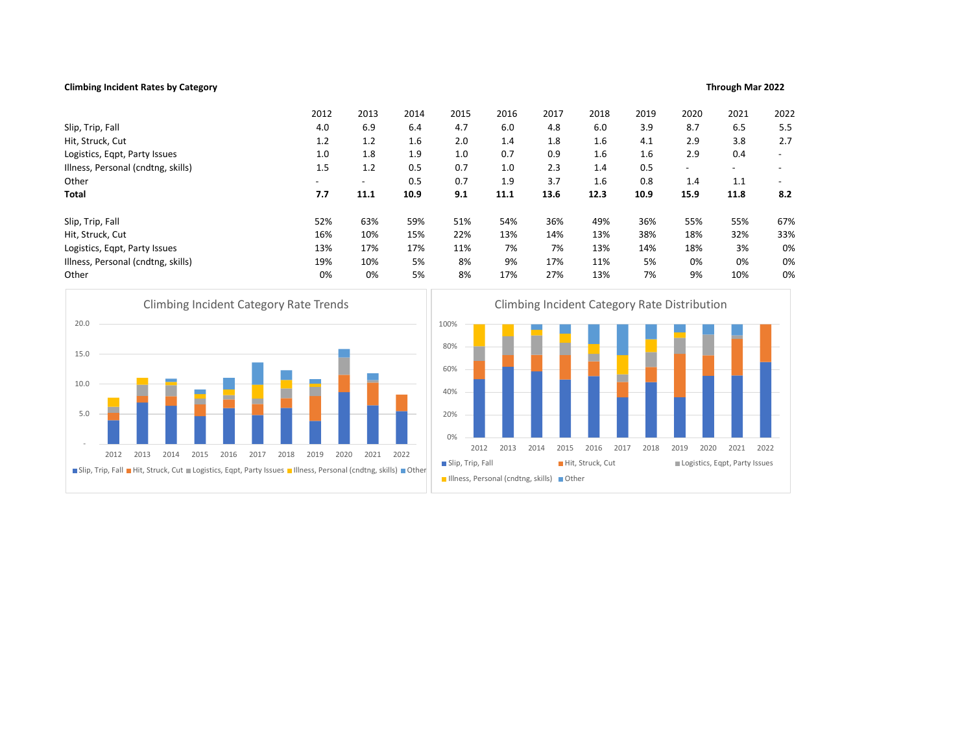# Climbing Incident Rates by Category Through Mar 2022

|                                                                              | 2012         | 2013                     | 2014 | 2015                                           | 2016 | 2017                                                         | 2018             | 2019         | 2020                     | 2021                          | 2022       |
|------------------------------------------------------------------------------|--------------|--------------------------|------|------------------------------------------------|------|--------------------------------------------------------------|------------------|--------------|--------------------------|-------------------------------|------------|
| Slip, Trip, Fall                                                             | 4.0          | 6.9                      | 6.4  | 4.7                                            | 6.0  | 4.8                                                          | 6.0              | 3.9          | 8.7                      |                               | 5.5<br>6.5 |
| Hit, Struck, Cut                                                             | 1.2          | 1.2                      | 1.6  | 2.0                                            | 1.4  | 1.8                                                          | 1.6              | 4.1          | 2.9                      |                               | 3.8<br>2.7 |
| Logistics, Eqpt, Party Issues                                                | 1.0          | 1.8                      | 1.9  | 1.0                                            | 0.7  | 0.9                                                          | 1.6              | 1.6          | 2.9                      |                               | 0.4        |
| Illness, Personal (cndtng, skills)                                           | 1.5          | 1.2                      | 0.5  | 0.7                                            | 1.0  | 2.3                                                          | 1.4              | 0.5          | $\overline{\phantom{a}}$ | $\overline{\phantom{a}}$      |            |
| Other                                                                        |              | $\overline{\phantom{a}}$ | 0.5  | 0.7                                            | 1.9  | 3.7                                                          | 1.6              | 0.8          | 1.4                      |                               | 1.1        |
| Total                                                                        | 7.7          | 11.1                     | 10.9 | 9.1                                            | 11.1 | 13.6                                                         | 12.3             | 10.9         | 15.9                     | 11.8                          | 8.2        |
| Slip, Trip, Fall                                                             | 52%          | 63%                      | 59%  | 51%                                            | 54%  | 36%                                                          | 49%              | 36%          | 55%                      |                               | 67%<br>55% |
| Hit, Struck, Cut                                                             | 16%          | 10%                      | 15%  | 22%                                            | 13%  | 14%                                                          | 13%              | 38%          | 18%                      |                               | 33%<br>32% |
| Logistics, Eqpt, Party Issues                                                | 13%          | 17%                      | 17%  | 11%                                            | 7%   | 7%                                                           | 13%              | 14%          | 18%                      |                               | 0%<br>3%   |
| Illness, Personal (cndtng, skills)                                           | 19%          | 10%                      | 5%   | 8%                                             | 9%   | 17%                                                          | 11%              | 5%           | 0%                       |                               | 0%<br>0%   |
| Other                                                                        | 0%           | 0%                       | 5%   | 8%                                             | 17%  | 27%                                                          | 13%              | 7%           | 9%                       |                               | 0%<br>10%  |
| <b>Climbing Incident Category Rate Trends</b><br>20.0<br>15.0<br>10.0<br>5.0 |              |                          |      | 100%<br>80%<br>60%<br>40%<br>20%<br>0%<br>2012 | 2013 | Climbing Incident Category Rate Distribution<br>2014<br>2015 | 2016             | 2017<br>2018 | 2019                     | 2020<br>2021                  | 2022       |
|                                                                              | 2019<br>2020 | 2021                     | 2022 | Slip, Trip, Fall                               |      |                                                              | Hit, Struck, Cut |              |                          | Logistics, Eqpt, Party Issues |            |
| 2014<br>2018<br>2012<br>2013<br>2015<br>2016<br>2017                         |              |                          |      |                                                |      |                                                              |                  |              |                          |                               |            |



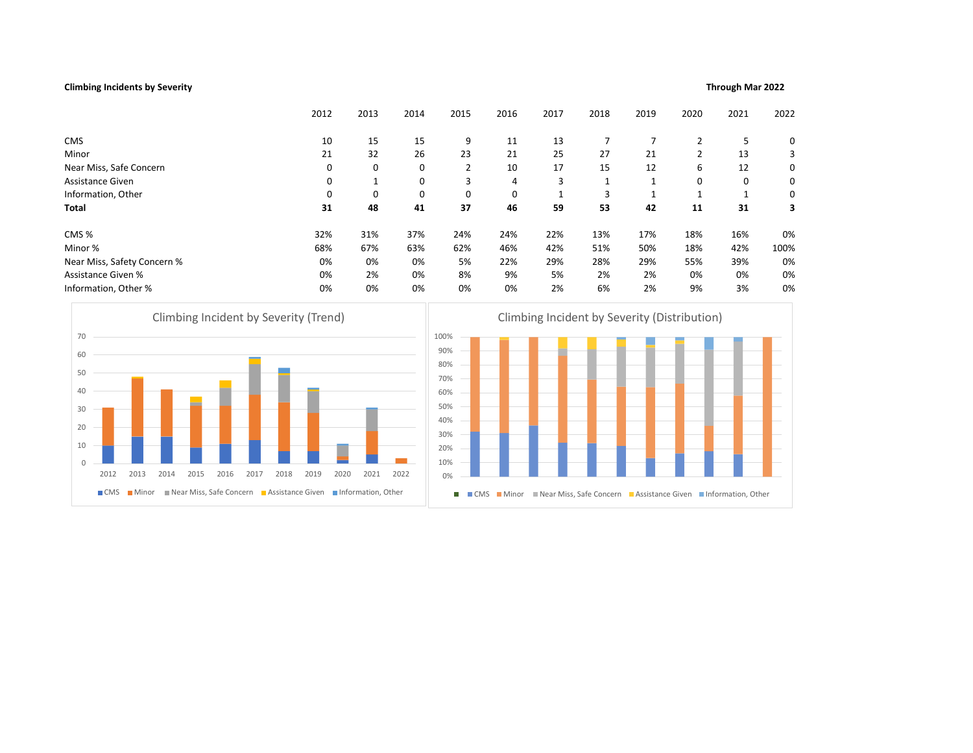# Climbing Incidents by Severity Through Mar 2022

| CMS<br>15<br>15<br>9<br>7<br>7<br>5<br>10<br>11<br>13<br>$\overline{2}$<br>Minor<br>21<br>32<br>26<br>23<br>21<br>25<br>27<br>21<br>$\overline{2}$<br>13<br>$\overline{2}$<br>6<br>Near Miss, Safe Concern<br>$\mathbf 0$<br>$\mathbf 0$<br>10<br>17<br>15<br>12<br>12<br>0<br>3<br>Assistance Given<br>$\mathbf 0$<br>0<br>0<br>0<br>4<br>3<br>1<br>1<br>1<br>Information, Other<br>$\mathbf 0$<br>3<br>0<br>0<br>0<br>0<br>1<br>1<br>1<br>1<br><b>Total</b><br>31<br>48<br>41<br>37<br>46<br>59<br>53<br>42<br>11<br>31<br>CMS%<br>31%<br>37%<br>24%<br>16%<br>32%<br>24%<br>22%<br>13%<br>17%<br>18%<br>Minor %<br>46%<br>42%<br>50%<br>68%<br>67%<br>63%<br>62%<br>51%<br>18%<br>42%<br>Near Miss, Safety Concern %<br>0%<br>0%<br>5%<br>22%<br>29%<br>28%<br>29%<br>55%<br>39%<br>0%<br><b>Assistance Given %</b><br>8%<br>9%<br>0%<br>2%<br>0%<br>5%<br>2%<br>2%<br>0%<br>0%<br>Information, Other %<br>0%<br>0%<br>0%<br>0%<br>6%<br>3%<br>0%<br>2%<br>2%<br>9%<br>Climbing Incident by Severity (Trend)<br>Climbing Incident by Severity (Distribution)<br>100%<br>70<br>90%<br>60<br>80%<br>50<br>70%<br>40<br>60%<br>50%<br>30<br>40%<br>20<br>30%<br>10<br>20%<br>10%<br>$\mathbb O$<br>2013<br>2014<br>2015<br>2016<br>2017<br>2018<br>2019<br>2020<br>2021<br>2012<br>2022<br>0%<br>Near Miss, Safe Concern Assistance Given Information, Other<br>$\blacksquare$ CMS<br><b>■</b> Minor<br>■ CMS ■ Minor ■ Near Miss, Safe Concern ■ Assistance Given ■ Information, Other<br>п |  | 2012 | 2013 | 2014 | 2015 | 2016 | 2017 | 2018 | 2019 | 2020 | 2021 | 2022 |
|----------------------------------------------------------------------------------------------------------------------------------------------------------------------------------------------------------------------------------------------------------------------------------------------------------------------------------------------------------------------------------------------------------------------------------------------------------------------------------------------------------------------------------------------------------------------------------------------------------------------------------------------------------------------------------------------------------------------------------------------------------------------------------------------------------------------------------------------------------------------------------------------------------------------------------------------------------------------------------------------------------------------------------------------------------------------------------------------------------------------------------------------------------------------------------------------------------------------------------------------------------------------------------------------------------------------------------------------------------------------------------------------------------------------------------------------------------------------------------------------|--|------|------|------|------|------|------|------|------|------|------|------|
|                                                                                                                                                                                                                                                                                                                                                                                                                                                                                                                                                                                                                                                                                                                                                                                                                                                                                                                                                                                                                                                                                                                                                                                                                                                                                                                                                                                                                                                                                              |  |      |      |      |      |      |      |      |      |      |      | 0    |
|                                                                                                                                                                                                                                                                                                                                                                                                                                                                                                                                                                                                                                                                                                                                                                                                                                                                                                                                                                                                                                                                                                                                                                                                                                                                                                                                                                                                                                                                                              |  |      |      |      |      |      |      |      |      |      |      | 3    |
|                                                                                                                                                                                                                                                                                                                                                                                                                                                                                                                                                                                                                                                                                                                                                                                                                                                                                                                                                                                                                                                                                                                                                                                                                                                                                                                                                                                                                                                                                              |  |      |      |      |      |      |      |      |      |      |      | 0    |
|                                                                                                                                                                                                                                                                                                                                                                                                                                                                                                                                                                                                                                                                                                                                                                                                                                                                                                                                                                                                                                                                                                                                                                                                                                                                                                                                                                                                                                                                                              |  |      |      |      |      |      |      |      |      |      |      | 0    |
|                                                                                                                                                                                                                                                                                                                                                                                                                                                                                                                                                                                                                                                                                                                                                                                                                                                                                                                                                                                                                                                                                                                                                                                                                                                                                                                                                                                                                                                                                              |  |      |      |      |      |      |      |      |      |      |      | 0    |
|                                                                                                                                                                                                                                                                                                                                                                                                                                                                                                                                                                                                                                                                                                                                                                                                                                                                                                                                                                                                                                                                                                                                                                                                                                                                                                                                                                                                                                                                                              |  |      |      |      |      |      |      |      |      |      |      | 3    |
|                                                                                                                                                                                                                                                                                                                                                                                                                                                                                                                                                                                                                                                                                                                                                                                                                                                                                                                                                                                                                                                                                                                                                                                                                                                                                                                                                                                                                                                                                              |  |      |      |      |      |      |      |      |      |      |      | 0%   |
|                                                                                                                                                                                                                                                                                                                                                                                                                                                                                                                                                                                                                                                                                                                                                                                                                                                                                                                                                                                                                                                                                                                                                                                                                                                                                                                                                                                                                                                                                              |  |      |      |      |      |      |      |      |      |      |      | 100% |
|                                                                                                                                                                                                                                                                                                                                                                                                                                                                                                                                                                                                                                                                                                                                                                                                                                                                                                                                                                                                                                                                                                                                                                                                                                                                                                                                                                                                                                                                                              |  |      |      |      |      |      |      |      |      |      |      | 0%   |
|                                                                                                                                                                                                                                                                                                                                                                                                                                                                                                                                                                                                                                                                                                                                                                                                                                                                                                                                                                                                                                                                                                                                                                                                                                                                                                                                                                                                                                                                                              |  |      |      |      |      |      |      |      |      |      |      | 0%   |
|                                                                                                                                                                                                                                                                                                                                                                                                                                                                                                                                                                                                                                                                                                                                                                                                                                                                                                                                                                                                                                                                                                                                                                                                                                                                                                                                                                                                                                                                                              |  |      |      |      |      |      |      |      |      |      |      | 0%   |
|                                                                                                                                                                                                                                                                                                                                                                                                                                                                                                                                                                                                                                                                                                                                                                                                                                                                                                                                                                                                                                                                                                                                                                                                                                                                                                                                                                                                                                                                                              |  |      |      |      |      |      |      |      |      |      |      |      |
|                                                                                                                                                                                                                                                                                                                                                                                                                                                                                                                                                                                                                                                                                                                                                                                                                                                                                                                                                                                                                                                                                                                                                                                                                                                                                                                                                                                                                                                                                              |  |      |      |      |      |      |      |      |      |      |      |      |